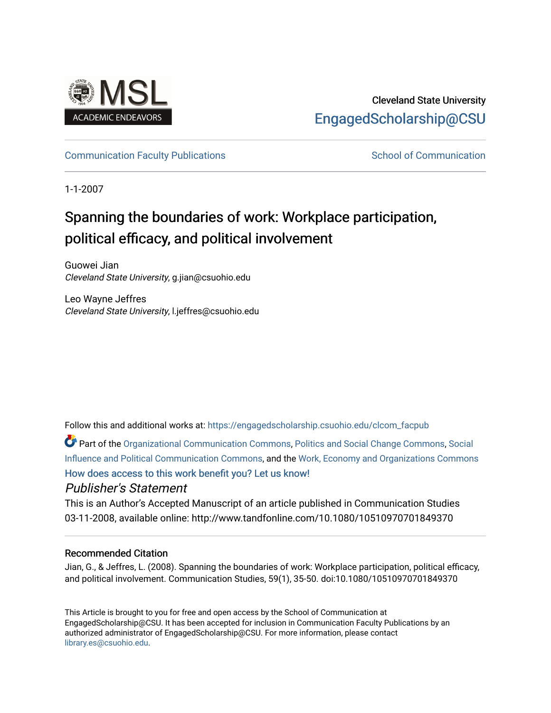

# Cleveland State University [EngagedScholarship@CSU](https://engagedscholarship.csuohio.edu/)

## [Communication Faculty Publications](https://engagedscholarship.csuohio.edu/clcom_facpub) [School of Communication](https://engagedscholarship.csuohio.edu/clcom) School of Communication

1-1-2007

# Spanning the boundaries of work: Workplace participation, political efficacy, and political involvement

Guowei Jian Cleveland State University, g.jian@csuohio.edu

Leo Wayne Jeffres Cleveland State University, l.jeffres@csuohio.edu

Follow this and additional works at: [https://engagedscholarship.csuohio.edu/clcom\\_facpub](https://engagedscholarship.csuohio.edu/clcom_facpub?utm_source=engagedscholarship.csuohio.edu%2Fclcom_facpub%2F18&utm_medium=PDF&utm_campaign=PDFCoverPages) 

Part of the [Organizational Communication Commons](http://network.bepress.com/hgg/discipline/335?utm_source=engagedscholarship.csuohio.edu%2Fclcom_facpub%2F18&utm_medium=PDF&utm_campaign=PDFCoverPages), [Politics and Social Change Commons](http://network.bepress.com/hgg/discipline/425?utm_source=engagedscholarship.csuohio.edu%2Fclcom_facpub%2F18&utm_medium=PDF&utm_campaign=PDFCoverPages), [Social](http://network.bepress.com/hgg/discipline/337?utm_source=engagedscholarship.csuohio.edu%2Fclcom_facpub%2F18&utm_medium=PDF&utm_campaign=PDFCoverPages)  [Influence and Political Communication Commons,](http://network.bepress.com/hgg/discipline/337?utm_source=engagedscholarship.csuohio.edu%2Fclcom_facpub%2F18&utm_medium=PDF&utm_campaign=PDFCoverPages) and the [Work, Economy and Organizations Commons](http://network.bepress.com/hgg/discipline/433?utm_source=engagedscholarship.csuohio.edu%2Fclcom_facpub%2F18&utm_medium=PDF&utm_campaign=PDFCoverPages) [How does access to this work benefit you? Let us know!](http://library.csuohio.edu/engaged/)

## Publisher's Statement

This is an Author's Accepted Manuscript of an article published in Communication Studies 03-11-2008, available online: http://www.tandfonline.com/10.1080/10510970701849370

## Recommended Citation

Jian, G., & Jeffres, L. (2008). Spanning the boundaries of work: Workplace participation, political efficacy, and political involvement. Communication Studies, 59(1), 35-50. doi:10.1080/10510970701849370

This Article is brought to you for free and open access by the School of Communication at EngagedScholarship@CSU. It has been accepted for inclusion in Communication Faculty Publications by an authorized administrator of EngagedScholarship@CSU. For more information, please contact [library.es@csuohio.edu.](mailto:library.es@csuohio.edu)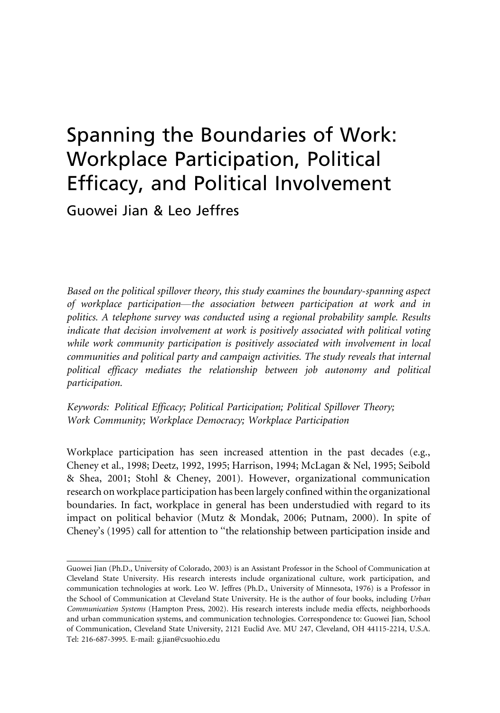# Spanning the Boundaries of Work: Workplace Participation, Political Efficacy, and Political Involvement

Guowei Jian & Leo Jeffres

Based on the political spillover theory, this study examines the boundary-spanning aspect of workplace participation*—*the association between participation at work and in politics. A telephone survey was conducted using a regional probability sample. Results indicate that decision involvement at work is positively associated with political voting while work community participation is positively associated with involvement in local communities and political party and campaign activities. The study reveals that internal political efficacy mediates the relationship between job autonomy and political participation.

Keywords: Political Efficacy; Political Participation; Political Spillover Theory; Work Community; Workplace Democracy; Workplace Participation

Workplace participation has seen increased attention in the past decades (e.g., Cheney et al., 1998; Deetz, 1992, 1995; Harrison, 1994; McLagan & Nel, 1995; Seibold & Shea, 2001; Stohl & Cheney, 2001). However, organizational communication research on workplace participation has been largely confined within the organizational boundaries. In fact, workplace in general has been understudied with regard to its impact on political behavior (Mutz & Mondak, 2006; Putnam, 2000). In spite of Cheney's (1995) call for attention to ''the relationship between participation inside and

Guowei Jian (Ph.D., University of Colorado, 2003) is an Assistant Professor in the School of Communication at Cleveland State University. His research interests include organizational culture, work participation, and communication technologies at work. Leo W. Jeffres (Ph.D., University of Minnesota, 1976) is a Professor in the School of Communication at Cleveland State University. He is the author of four books, including Urban Communication Systems (Hampton Press, 2002). His research interests include media effects, neighborhoods and urban communication systems, and communication technologies. Correspondence to: Guowei Jian, School of Communication, Cleveland State University, 2121 Euclid Ave. MU 247, Cleveland, OH 44115-2214, U.S.A. Tel: 216-687-3995. E-mail: g.jian@csuohio.edu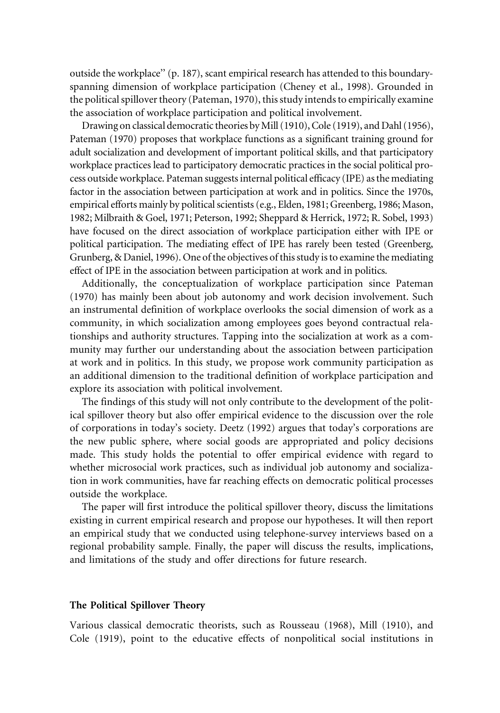outside the workplace'' (p. 187), scant empirical research has attended to this boundaryspanning dimension of workplace participation (Cheney et al., 1998). Grounded in the political spillover theory (Pateman, 1970), this study intends to empirically examine the association of workplace participation and political involvement.

Drawing on classical democratic theories by Mill (1910), Cole (1919), and Dahl (1956), Pateman (1970) proposes that workplace functions as a significant training ground for adult socialization and development of important political skills, and that participatory workplace practices lead to participatory democratic practices in the social political process outside workplace. Pateman suggests internal political efficacy (IPE) as the mediating factor in the association between participation at work and in politics. Since the 1970s, empirical efforts mainly by political scientists (e.g., Elden, 1981; Greenberg, 1986; Mason, 1982; Milbraith & Goel, 1971; Peterson, 1992; Sheppard & Herrick, 1972; R. Sobel, 1993) have focused on the direct association of workplace participation either with IPE or political participation. The mediating effect of IPE has rarely been tested (Greenberg, Grunberg, & Daniel, 1996). One of the objectives of this study is to examine the mediating effect of IPE in the association between participation at work and in politics.

Additionally, the conceptualization of workplace participation since Pateman (1970) has mainly been about job autonomy and work decision involvement. Such an instrumental definition of workplace overlooks the social dimension of work as a community, in which socialization among employees goes beyond contractual relationships and authority structures. Tapping into the socialization at work as a community may further our understanding about the association between participation at work and in politics. In this study, we propose work community participation as an additional dimension to the traditional definition of workplace participation and explore its association with political involvement.

The findings of this study will not only contribute to the development of the political spillover theory but also offer empirical evidence to the discussion over the role of corporations in today's society. Deetz (1992) argues that today's corporations are the new public sphere, where social goods are appropriated and policy decisions made. This study holds the potential to offer empirical evidence with regard to whether microsocial work practices, such as individual job autonomy and socialization in work communities, have far reaching effects on democratic political processes outside the workplace.

The paper will first introduce the political spillover theory, discuss the limitations existing in current empirical research and propose our hypotheses. It will then report an empirical study that we conducted using telephone-survey interviews based on a regional probability sample. Finally, the paper will discuss the results, implications, and limitations of the study and offer directions for future research.

#### The Political Spillover Theory

Various classical democratic theorists, such as Rousseau (1968), Mill (1910), and Cole (1919), point to the educative effects of nonpolitical social institutions in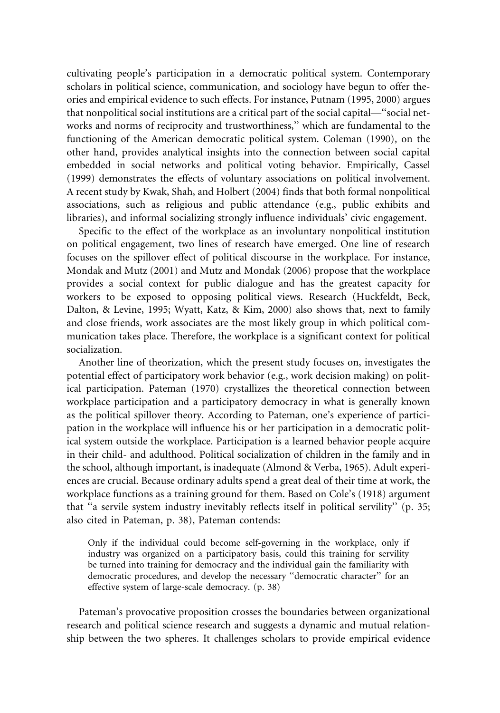cultivating people's participation in a democratic political system. Contemporary scholars in political science, communication, and sociology have begun to offer theories and empirical evidence to such effects. For instance, Putnam (1995, 2000) argues that nonpolitical social institutions are a critical part of the social capital*—*''social networks and norms of reciprocity and trustworthiness,'' which are fundamental to the functioning of the American democratic political system. Coleman (1990), on the other hand, provides analytical insights into the connection between social capital embedded in social networks and political voting behavior. Empirically, Cassel (1999) demonstrates the effects of voluntary associations on political involvement. A recent study by Kwak, Shah, and Holbert (2004) finds that both formal nonpolitical associations, such as religious and public attendance (e.g., public exhibits and libraries), and informal socializing strongly influence individuals' civic engagement.

Specific to the effect of the workplace as an involuntary nonpolitical institution on political engagement, two lines of research have emerged. One line of research focuses on the spillover effect of political discourse in the workplace. For instance, Mondak and Mutz (2001) and Mutz and Mondak (2006) propose that the workplace provides a social context for public dialogue and has the greatest capacity for workers to be exposed to opposing political views. Research (Huckfeldt, Beck, Dalton, & Levine, 1995; Wyatt, Katz, & Kim, 2000) also shows that, next to family and close friends, work associates are the most likely group in which political communication takes place. Therefore, the workplace is a significant context for political socialization.

Another line of theorization, which the present study focuses on, investigates the potential effect of participatory work behavior (e.g., work decision making) on political participation. Pateman (1970) crystallizes the theoretical connection between workplace participation and a participatory democracy in what is generally known as the political spillover theory. According to Pateman, one's experience of participation in the workplace will influence his or her participation in a democratic political system outside the workplace. Participation is a learned behavior people acquire in their child- and adulthood. Political socialization of children in the family and in the school, although important, is inadequate (Almond & Verba, 1965). Adult experiences are crucial. Because ordinary adults spend a great deal of their time at work, the workplace functions as a training ground for them. Based on Cole's (1918) argument that ''a servile system industry inevitably reflects itself in political servility'' (p. 35; also cited in Pateman, p. 38), Pateman contends:

Only if the individual could become self-governing in the workplace, only if industry was organized on a participatory basis, could this training for servility be turned into training for democracy and the individual gain the familiarity with democratic procedures, and develop the necessary ''democratic character'' for an effective system of large-scale democracy. (p. 38)

Pateman's provocative proposition crosses the boundaries between organizational research and political science research and suggests a dynamic and mutual relationship between the two spheres. It challenges scholars to provide empirical evidence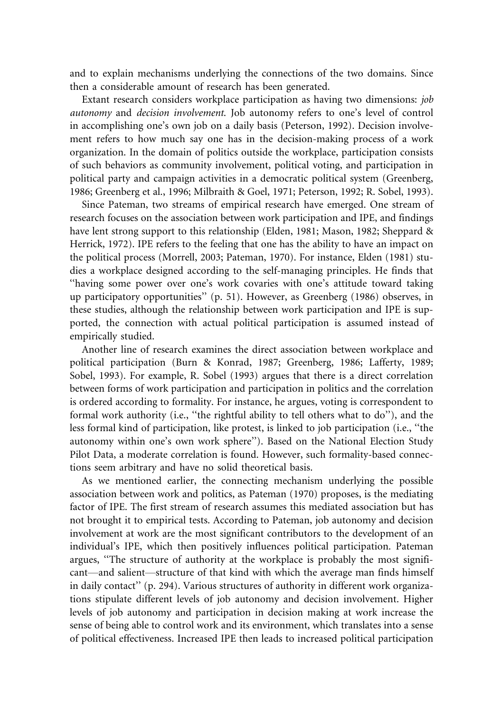and to explain mechanisms underlying the connections of the two domains. Since then a considerable amount of research has been generated.

Extant research considers workplace participation as having two dimensions: job autonomy and decision involvement. Job autonomy refers to one's level of control in accomplishing one's own job on a daily basis (Peterson, 1992). Decision involvement refers to how much say one has in the decision-making process of a work organization. In the domain of politics outside the workplace, participation consists of such behaviors as community involvement, political voting, and participation in political party and campaign activities in a democratic political system (Greenberg, 1986; Greenberg et al., 1996; Milbraith & Goel, 1971; Peterson, 1992; R. Sobel, 1993).

Since Pateman, two streams of empirical research have emerged. One stream of research focuses on the association between work participation and IPE, and findings have lent strong support to this relationship (Elden, 1981; Mason, 1982; Sheppard & Herrick, 1972). IPE refers to the feeling that one has the ability to have an impact on the political process (Morrell, 2003; Pateman, 1970). For instance, Elden (1981) studies a workplace designed according to the self-managing principles. He finds that "having some power over one's work covaries with one's attitude toward taking up participatory opportunities'' (p. 51). However, as Greenberg (1986) observes, in these studies, although the relationship between work participation and IPE is supported, the connection with actual political participation is assumed instead of empirically studied.

Another line of research examines the direct association between workplace and political participation (Burn & Konrad, 1987; Greenberg, 1986; Lafferty, 1989; Sobel, 1993). For example, R. Sobel (1993) argues that there is a direct correlation between forms of work participation and participation in politics and the correlation is ordered according to formality. For instance, he argues, voting is correspondent to formal work authority (i.e., ''the rightful ability to tell others what to do''), and the less formal kind of participation, like protest, is linked to job participation (i.e., ''the autonomy within one's own work sphere''). Based on the National Election Study Pilot Data, a moderate correlation is found. However, such formality-based connections seem arbitrary and have no solid theoretical basis.

As we mentioned earlier, the connecting mechanism underlying the possible association between work and politics, as Pateman (1970) proposes, is the mediating factor of IPE. The first stream of research assumes this mediated association but has not brought it to empirical tests. According to Pateman, job autonomy and decision involvement at work are the most significant contributors to the development of an individual's IPE, which then positively influences political participation. Pateman argues, ''The structure of authority at the workplace is probably the most significant*—*and salient*—*structure of that kind with which the average man finds himself in daily contact'' (p. 294). Various structures of authority in different work organizations stipulate different levels of job autonomy and decision involvement. Higher levels of job autonomy and participation in decision making at work increase the sense of being able to control work and its environment, which translates into a sense of political effectiveness. Increased IPE then leads to increased political participation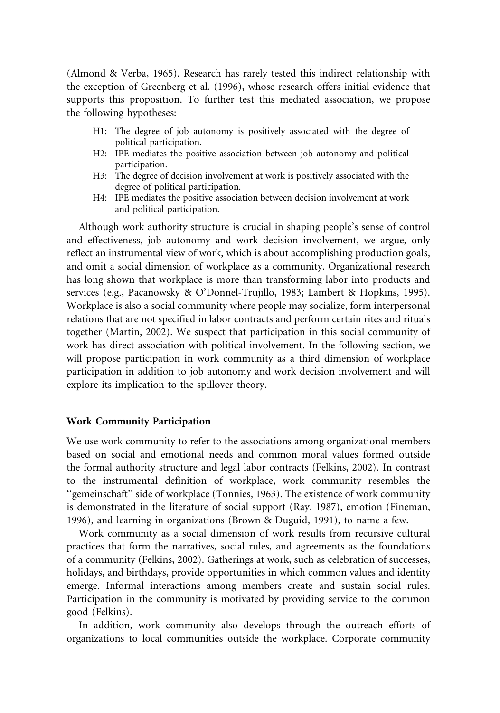(Almond & Verba, 1965). Research has rarely tested this indirect relationship with the exception of Greenberg et al. (1996), whose research offers initial evidence that supports this proposition. To further test this mediated association, we propose the following hypotheses:

- H1: The degree of job autonomy is positively associated with the degree of political participation.
- H2: IPE mediates the positive association between job autonomy and political participation.
- H3: The degree of decision involvement at work is positively associated with the degree of political participation.
- H4: IPE mediates the positive association between decision involvement at work and political participation.

Although work authority structure is crucial in shaping people's sense of control and effectiveness, job autonomy and work decision involvement, we argue, only reflect an instrumental view of work, which is about accomplishing production goals, and omit a social dimension of workplace as a community. Organizational research has long shown that workplace is more than transforming labor into products and services (e.g., Pacanowsky & O'Donnel-Trujillo, 1983; Lambert & Hopkins, 1995). Workplace is also a social community where people may socialize, form interpersonal relations that are not specified in labor contracts and perform certain rites and rituals together (Martin, 2002). We suspect that participation in this social community of work has direct association with political involvement. In the following section, we will propose participation in work community as a third dimension of workplace participation in addition to job autonomy and work decision involvement and will explore its implication to the spillover theory.

#### Work Community Participation

We use work community to refer to the associations among organizational members based on social and emotional needs and common moral values formed outside the formal authority structure and legal labor contracts (Felkins, 2002). In contrast to the instrumental definition of workplace, work community resembles the ''gemeinschaft'' side of workplace (Tonnies, 1963). The existence of work community is demonstrated in the literature of social support (Ray, 1987), emotion (Fineman, 1996), and learning in organizations (Brown & Duguid, 1991), to name a few.

Work community as a social dimension of work results from recursive cultural practices that form the narratives, social rules, and agreements as the foundations of a community (Felkins, 2002). Gatherings at work, such as celebration of successes, holidays, and birthdays, provide opportunities in which common values and identity emerge. Informal interactions among members create and sustain social rules. Participation in the community is motivated by providing service to the common good (Felkins).

In addition, work community also develops through the outreach efforts of organizations to local communities outside the workplace. Corporate community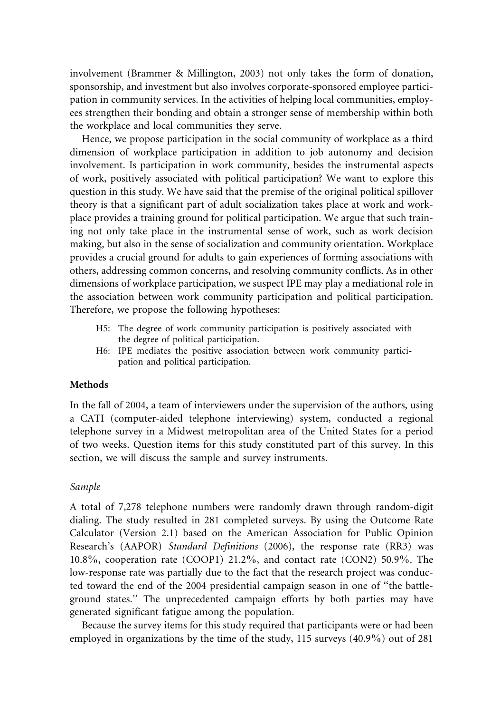involvement (Brammer & Millington, 2003) not only takes the form of donation, sponsorship, and investment but also involves corporate-sponsored employee participation in community services. In the activities of helping local communities, employees strengthen their bonding and obtain a stronger sense of membership within both the workplace and local communities they serve.

Hence, we propose participation in the social community of workplace as a third dimension of workplace participation in addition to job autonomy and decision involvement. Is participation in work community, besides the instrumental aspects of work, positively associated with political participation? We want to explore this question in this study. We have said that the premise of the original political spillover theory is that a significant part of adult socialization takes place at work and workplace provides a training ground for political participation. We argue that such training not only take place in the instrumental sense of work, such as work decision making, but also in the sense of socialization and community orientation. Workplace provides a crucial ground for adults to gain experiences of forming associations with others, addressing common concerns, and resolving community conflicts. As in other dimensions of workplace participation, we suspect IPE may play a mediational role in the association between work community participation and political participation. Therefore, we propose the following hypotheses:

- H5: The degree of work community participation is positively associated with the degree of political participation.
- H6: IPE mediates the positive association between work community participation and political participation.

#### **Methods**

In the fall of 2004, a team of interviewers under the supervision of the authors, using a CATI (computer-aided telephone interviewing) system, conducted a regional telephone survey in a Midwest metropolitan area of the United States for a period of two weeks. Question items for this study constituted part of this survey. In this section, we will discuss the sample and survey instruments.

#### Sample

A total of 7,278 telephone numbers were randomly drawn through random-digit dialing. The study resulted in 281 completed surveys. By using the Outcome Rate Calculator (Version 2.1) based on the American Association for Public Opinion Research's (AAPOR) Standard Definitions (2006), the response rate (RR3) was 10.8%, cooperation rate (COOP1) 21.2%, and contact rate (CON2) 50.9%. The low-response rate was partially due to the fact that the research project was conducted toward the end of the 2004 presidential campaign season in one of ''the battleground states.'' The unprecedented campaign efforts by both parties may have generated significant fatigue among the population.

Because the survey items for this study required that participants were or had been employed in organizations by the time of the study, 115 surveys (40.9%) out of 281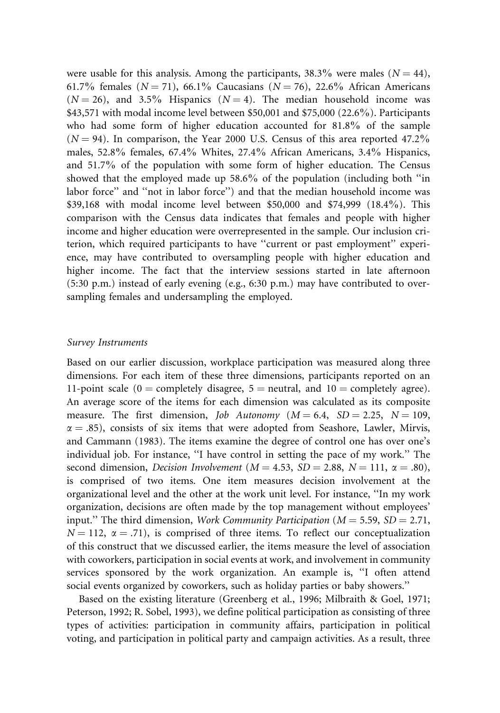were usable for this analysis. Among the participants, 38.3% were males ( $N = 44$ ), 61.7% females ( $N = 71$ ), 66.1% Caucasians ( $N = 76$ ), 22.6% African Americans  $(N = 26)$ , and 3.5% Hispanics  $(N = 4)$ . The median household income was \$43,571 with modal income level between \$50,001 and \$75,000 (22.6%). Participants who had some form of higher education accounted for 81.8% of the sample  $(N = 94)$ . In comparison, the Year 2000 U.S. Census of this area reported 47.2% males, 52.8% females, 67.4% Whites, 27.4% African Americans, 3.4% Hispanics, and 51.7% of the population with some form of higher education. The Census showed that the employed made up 58.6% of the population (including both ''in labor force'' and ''not in labor force'') and that the median household income was \$39,168 with modal income level between \$50,000 and \$74,999 (18.4%). This comparison with the Census data indicates that females and people with higher income and higher education were overrepresented in the sample. Our inclusion criterion, which required participants to have ''current or past employment'' experience, may have contributed to oversampling people with higher education and higher income. The fact that the interview sessions started in late afternoon (5:30 p.m.) instead of early evening (e.g., 6:30 p.m.) may have contributed to oversampling females and undersampling the employed.

#### Survey Instruments

Based on our earlier discussion, workplace participation was measured along three dimensions. For each item of these three dimensions, participants reported on an 11-point scale (0 = completely disagree,  $5$  = neutral, and  $10$  = completely agree). An average score of the items for each dimension was calculated as its composite measure. The first dimension, *Job Autonomy* ( $M = 6.4$ ,  $SD = 2.25$ ,  $N = 109$ ,  $\alpha = .85$ ), consists of six items that were adopted from Seashore, Lawler, Mirvis, and Cammann (1983). The items examine the degree of control one has over one's individual job. For instance, ''I have control in setting the pace of my work.'' The second dimension, *Decision Involvement* ( $M = 4.53$ ,  $SD = 2.88$ ,  $N = 111$ ,  $\alpha = .80$ ), is comprised of two items. One item measures decision involvement at the organizational level and the other at the work unit level. For instance, ''In my work organization, decisions are often made by the top management without employees' input." The third dimension, Work Community Participation ( $M = 5.59$ ,  $SD = 2.71$ ,  $N = 112$ ,  $\alpha = .71$ ), is comprised of three items. To reflect our conceptualization of this construct that we discussed earlier, the items measure the level of association with coworkers, participation in social events at work, and involvement in community services sponsored by the work organization. An example is, ''I often attend social events organized by coworkers, such as holiday parties or baby showers.''

Based on the existing literature (Greenberg et al., 1996; Milbraith & Goel, 1971; Peterson, 1992; R. Sobel, 1993), we define political participation as consisting of three types of activities: participation in community affairs, participation in political voting, and participation in political party and campaign activities. As a result, three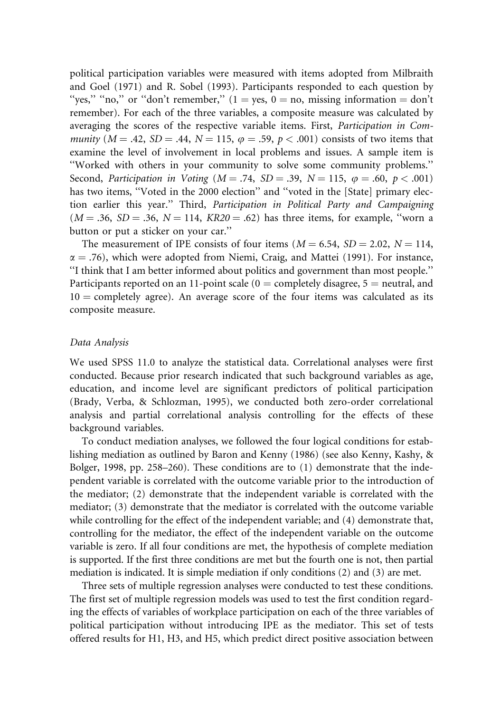political participation variables were measured with items adopted from Milbraith and Goel (1971) and R. Sobel (1993). Participants responded to each question by "yes," "no," or "don't remember,"  $(1 = yes, 0 = no, missing information = don't$ remember). For each of the three variables, a composite measure was calculated by averaging the scores of the respective variable items. First, Participation in Community  $(M = .42, SD = .44, N = 115, \varphi = .59, p < .001)$  consists of two items that examine the level of involvement in local problems and issues. A sample item is ''Worked with others in your community to solve some community problems.'' Second, Participation in Voting ( $M = .74$ ,  $SD = .39$ ,  $N = 115$ ,  $\varphi = .60$ ,  $p < .001$ ) has two items, ''Voted in the 2000 election'' and ''voted in the [State] primary election earlier this year.'' Third, Participation in Political Party and Campaigning  $(M = .36, SD = .36, N = 114, KR20 = .62)$  has three items, for example, "worn a button or put a sticker on your car.''

The measurement of IPE consists of four items ( $M = 6.54$ ,  $SD = 2.02$ ,  $N = 114$ ,  $\alpha = .76$ ), which were adopted from Niemi, Craig, and Mattei (1991). For instance, ''I think that I am better informed about politics and government than most people.'' Participants reported on an 11-point scale  $(0 = \text{completely disagree}, 5 = \text{neutral}, \text{and}$  $10 =$  completely agree). An average score of the four items was calculated as its composite measure.

#### Data Analysis

We used SPSS 11.0 to analyze the statistical data. Correlational analyses were first conducted. Because prior research indicated that such background variables as age, education, and income level are significant predictors of political participation (Brady, Verba, & Schlozman, 1995), we conducted both zero-order correlational analysis and partial correlational analysis controlling for the effects of these background variables.

To conduct mediation analyses, we followed the four logical conditions for establishing mediation as outlined by Baron and Kenny (1986) (see also Kenny, Kashy, & Bolger, 1998, pp. 258–260). These conditions are to (1) demonstrate that the independent variable is correlated with the outcome variable prior to the introduction of the mediator; (2) demonstrate that the independent variable is correlated with the mediator; (3) demonstrate that the mediator is correlated with the outcome variable while controlling for the effect of the independent variable; and (4) demonstrate that, controlling for the mediator, the effect of the independent variable on the outcome variable is zero. If all four conditions are met, the hypothesis of complete mediation is supported. If the first three conditions are met but the fourth one is not, then partial mediation is indicated. It is simple mediation if only conditions (2) and (3) are met.

Three sets of multiple regression analyses were conducted to test these conditions. The first set of multiple regression models was used to test the first condition regarding the effects of variables of workplace participation on each of the three variables of political participation without introducing IPE as the mediator. This set of tests offered results for H1, H3, and H5, which predict direct positive association between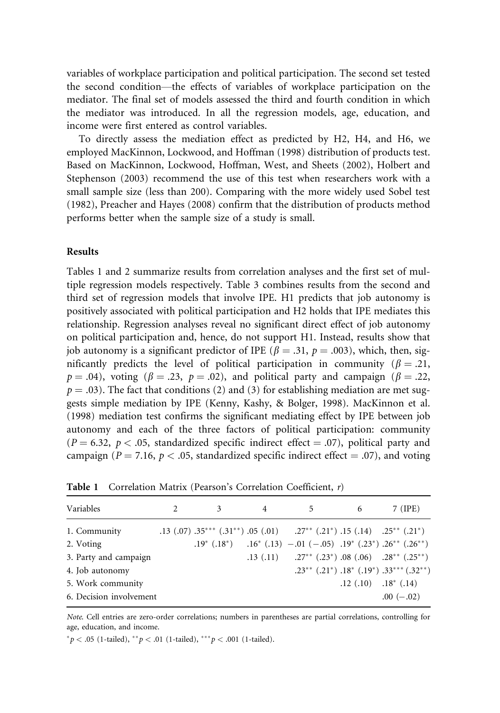variables of workplace participation and political participation. The second set tested the second condition*—*the effects of variables of workplace participation on the mediator. The final set of models assessed the third and fourth condition in which the mediator was introduced. In all the regression models, age, education, and income were first entered as control variables.

To directly assess the mediation effect as predicted by H2, H4, and H6, we employed MacKinnon, Lockwood, and Hoffman (1998) distribution of products test. Based on MacKinnon, Lockwood, Hoffman, West, and Sheets (2002), Holbert and Stephenson (2003) recommend the use of this test when researchers work with a small sample size (less than 200). Comparing with the more widely used Sobel test (1982), Preacher and Hayes (2008) confirm that the distribution of products method performs better when the sample size of a study is small.

#### Results

Tables 1 and 2 summarize results from correlation analyses and the first set of multiple regression models respectively. Table 3 combines results from the second and third set of regression models that involve IPE. H1 predicts that job autonomy is positively associated with political participation and H2 holds that IPE mediates this relationship. Regression analyses reveal no significant direct effect of job autonomy on political participation and, hence, do not support H1. Instead, results show that job autonomy is a significant predictor of IPE ( $\beta = .31$ ,  $p = .003$ ), which, then, significantly predicts the level of political participation in community ( $\beta = .21$ ,  $p = .04$ ), voting ( $\beta = .23$ ,  $p = .02$ ), and political party and campaign ( $\beta = .22$ ,  $p = .03$ ). The fact that conditions (2) and (3) for establishing mediation are met suggests simple mediation by IPE (Kenny, Kashy, & Bolger, 1998). MacKinnon et al. (1998) mediation test confirms the significant mediating effect by IPE between job autonomy and each of the three factors of political participation: community  $(P = 6.32, p < .05$ , standardized specific indirect effect = .07), political party and campaign ( $P = 7.16$ ,  $p < .05$ , standardized specific indirect effect = .07), and voting

| Variables               | $\mathcal{L}$ | 3 | 4 | 5                                                                                                                       | 6                       | $7$ (IPE)                                                                    |
|-------------------------|---------------|---|---|-------------------------------------------------------------------------------------------------------------------------|-------------------------|------------------------------------------------------------------------------|
| 1. Community            |               |   |   | .13 (.07) $35***$ (.31**) .05 (.01) .27** (.21*) .15 (.14) .25** (.21*)                                                 |                         |                                                                              |
| 2. Voting               |               |   |   | $.19^*$ (.18 <sup>*</sup> ) $.16^*$ (.13) $-.01$ ( $-.05$ ) $.19^*$ (.23 <sup>*</sup> ) $.26^{**}$ (.26 <sup>**</sup> ) |                         |                                                                              |
| 3. Party and campaign   |               |   |   | $.13$ $(.11)$ $.27^{**}$ $(.23^{*})$ $.08$ $(.06)$ $.28^{**}$ $(.25^{**})$                                              |                         |                                                                              |
| 4. Job autonomy         |               |   |   |                                                                                                                         |                         | $.23^{**}(.21^*)$ .18 <sup>*</sup> $(.19^*)$ .33 <sup>***</sup> $(.32^{**})$ |
| 5. Work community       |               |   |   |                                                                                                                         | $.12(.10)$ $.18^*(.14)$ |                                                                              |
| 6. Decision involvement |               |   |   |                                                                                                                         |                         | $.00 (-.02)$                                                                 |

Table 1 Correlation Matrix (Pearson's Correlation Coefficient,  $r$ )

Note. Cell entries are zero-order correlations; numbers in parentheses are partial correlations, controlling for age, education, and income.

 $p < .05$  (1-tailed),  $* p < .01$  (1-tailed),  $* * p < .001$  (1-tailed).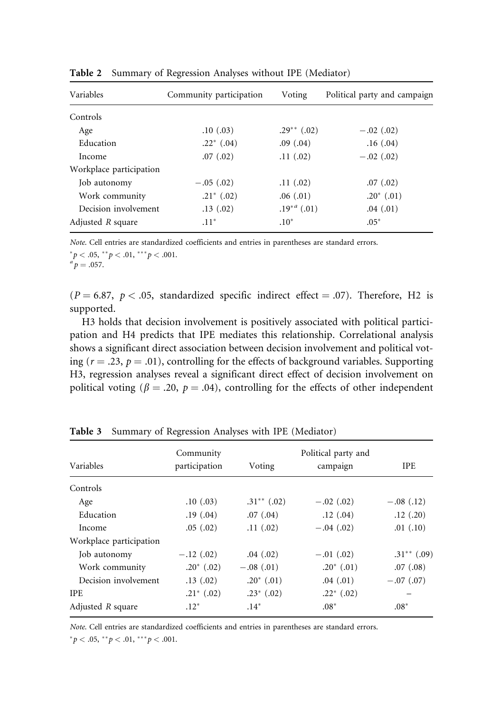| Variables               | Community participation | Voting           | Political party and campaign |  |
|-------------------------|-------------------------|------------------|------------------------------|--|
| Controls                |                         |                  |                              |  |
| Age                     | .10(0.03)               | $.29^{**}$ (.02) | $-.02$ (.02)                 |  |
| Education               | $.22^*$ (.04)           | .09(0.04)        | .16(0.04)                    |  |
| Income                  | .07(0.02)               | .11(.02)         | $-.02$ (.02)                 |  |
| Workplace participation |                         |                  |                              |  |
| Job autonomy            | $-.05(.02)$             | .11(.02)         | .07(0.02)                    |  |
| Work community          | $.21^*$ (.02)           | .06(.01)         | $.20^*$ (.01)                |  |
| Decision involvement    | .13(.02)                | $.19^{*a}$ (.01) | .04(.01)                     |  |
| Adjusted R square       | $.11*$                  | $.10*$           | $.05*$                       |  |

Table 2 Summary of Regression Analyses without IPE (Mediator)

Note. Cell entries are standardized coefficients and entries in parentheses are standard errors.

 ${}^*p < .05, {}^{**}p < .01, {}^{***}p < .001.$ <br>  ${}^ap = .057.$ 

 $(P = 6.87, p < .05,$  standardized specific indirect effect = .07). Therefore, H2 is supported.

H3 holds that decision involvement is positively associated with political participation and H4 predicts that IPE mediates this relationship. Correlational analysis shows a significant direct association between decision involvement and political voting ( $r = .23$ ,  $p = .01$ ), controlling for the effects of background variables. Supporting H3, regression analyses reveal a significant direct effect of decision involvement on political voting ( $\beta = .20$ ,  $p = .04$ ), controlling for the effects of other independent

| Variables               | Community<br>participation | Voting           | Political party and<br>campaign | <b>IPE</b>     |
|-------------------------|----------------------------|------------------|---------------------------------|----------------|
|                         |                            |                  |                                 |                |
| Controls                |                            |                  |                                 |                |
| Age                     | .10(0.03)                  | $.31***$ $(.02)$ | $-.02$ (.02)                    | $-.08(.12)$    |
| Education               | .19(0.04)                  | .07(0.04)        | .12(0.04)                       | .12(.20)       |
| Income                  | .05(.02)                   | .11(.02)         | $-.04(.02)$                     | .01(.10)       |
| Workplace participation |                            |                  |                                 |                |
| Job autonomy            | $-.12$ (.02)               | .04(.02)         | $-.01$ (.02)                    | $.31***$ (.09) |
| Work community          | $.20^*$ (.02)              | $-.08(.01)$      | $.20^*$ (.01)                   | .07(.08)       |
| Decision involvement    | .13(02)                    | $.20^*$ (.01)    | .04(.01)                        | $-.07(.07)$    |
| <b>IPE</b>              | $.21^*$ (.02)              | $.23^*$ (.02)    | $.22^*$ (.02)                   |                |
| Adjusted R square       | $.12*$                     | $.14*$           | $.08*$                          | $.08*$         |

Table 3 Summary of Regression Analyses with IPE (Mediator)

Note. Cell entries are standardized coefficients and entries in parentheses are standard errors.

 $p^*p < .05, \, p^*p < .01, \, p^*p < .001.$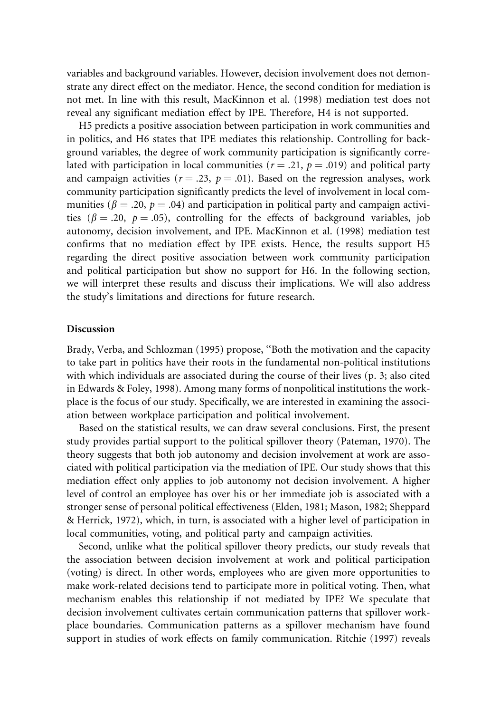variables and background variables. However, decision involvement does not demonstrate any direct effect on the mediator. Hence, the second condition for mediation is not met. In line with this result, MacKinnon et al. (1998) mediation test does not reveal any significant mediation effect by IPE. Therefore, H4 is not supported.

H5 predicts a positive association between participation in work communities and in politics, and H6 states that IPE mediates this relationship. Controlling for background variables, the degree of work community participation is significantly correlated with participation in local communities ( $r = .21$ ,  $p = .019$ ) and political party and campaign activities ( $r = .23$ ,  $p = .01$ ). Based on the regression analyses, work community participation significantly predicts the level of involvement in local communities ( $\beta = .20$ ,  $p = .04$ ) and participation in political party and campaign activities ( $\beta = .20$ ,  $p = .05$ ), controlling for the effects of background variables, job autonomy, decision involvement, and IPE. MacKinnon et al. (1998) mediation test confirms that no mediation effect by IPE exists. Hence, the results support H5 regarding the direct positive association between work community participation and political participation but show no support for H6. In the following section, we will interpret these results and discuss their implications. We will also address the study's limitations and directions for future research.

#### Discussion

Brady, Verba, and Schlozman (1995) propose, ''Both the motivation and the capacity to take part in politics have their roots in the fundamental non-political institutions with which individuals are associated during the course of their lives (p. 3; also cited in Edwards & Foley, 1998). Among many forms of nonpolitical institutions the workplace is the focus of our study. Specifically, we are interested in examining the association between workplace participation and political involvement.

Based on the statistical results, we can draw several conclusions. First, the present study provides partial support to the political spillover theory (Pateman, 1970). The theory suggests that both job autonomy and decision involvement at work are associated with political participation via the mediation of IPE. Our study shows that this mediation effect only applies to job autonomy not decision involvement. A higher level of control an employee has over his or her immediate job is associated with a stronger sense of personal political effectiveness (Elden, 1981; Mason, 1982; Sheppard & Herrick, 1972), which, in turn, is associated with a higher level of participation in local communities, voting, and political party and campaign activities.

Second, unlike what the political spillover theory predicts, our study reveals that the association between decision involvement at work and political participation (voting) is direct. In other words, employees who are given more opportunities to make work-related decisions tend to participate more in political voting. Then, what mechanism enables this relationship if not mediated by IPE? We speculate that decision involvement cultivates certain communication patterns that spillover workplace boundaries. Communication patterns as a spillover mechanism have found support in studies of work effects on family communication. Ritchie (1997) reveals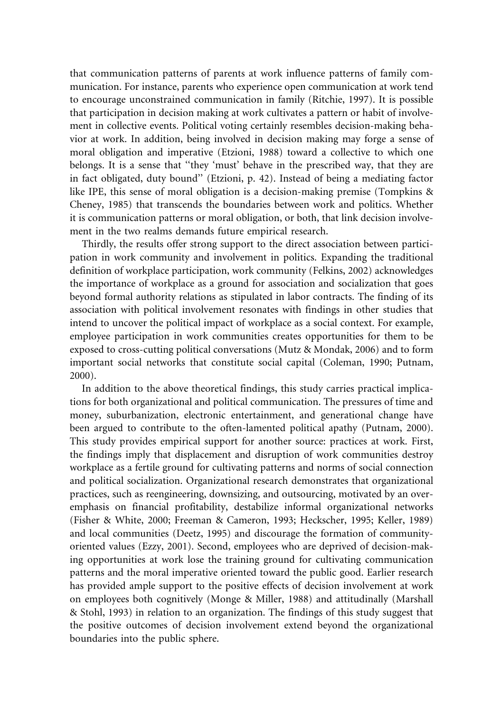that communication patterns of parents at work influence patterns of family communication. For instance, parents who experience open communication at work tend to encourage unconstrained communication in family (Ritchie, 1997). It is possible that participation in decision making at work cultivates a pattern or habit of involvement in collective events. Political voting certainly resembles decision-making behavior at work. In addition, being involved in decision making may forge a sense of moral obligation and imperative (Etzioni, 1988) toward a collective to which one belongs. It is a sense that ''they 'must' behave in the prescribed way, that they are in fact obligated, duty bound'' (Etzioni, p. 42). Instead of being a mediating factor like IPE, this sense of moral obligation is a decision-making premise (Tompkins & Cheney, 1985) that transcends the boundaries between work and politics. Whether it is communication patterns or moral obligation, or both, that link decision involvement in the two realms demands future empirical research.

Thirdly, the results offer strong support to the direct association between participation in work community and involvement in politics. Expanding the traditional definition of workplace participation, work community (Felkins, 2002) acknowledges the importance of workplace as a ground for association and socialization that goes beyond formal authority relations as stipulated in labor contracts. The finding of its association with political involvement resonates with findings in other studies that intend to uncover the political impact of workplace as a social context. For example, employee participation in work communities creates opportunities for them to be exposed to cross-cutting political conversations (Mutz & Mondak, 2006) and to form important social networks that constitute social capital (Coleman, 1990; Putnam, 2000).

In addition to the above theoretical findings, this study carries practical implications for both organizational and political communication. The pressures of time and money, suburbanization, electronic entertainment, and generational change have been argued to contribute to the often-lamented political apathy (Putnam, 2000). This study provides empirical support for another source: practices at work. First, the findings imply that displacement and disruption of work communities destroy workplace as a fertile ground for cultivating patterns and norms of social connection and political socialization. Organizational research demonstrates that organizational practices, such as reengineering, downsizing, and outsourcing, motivated by an overemphasis on financial profitability, destabilize informal organizational networks (Fisher & White, 2000; Freeman & Cameron, 1993; Heckscher, 1995; Keller, 1989) and local communities (Deetz, 1995) and discourage the formation of communityoriented values (Ezzy, 2001). Second, employees who are deprived of decision-making opportunities at work lose the training ground for cultivating communication patterns and the moral imperative oriented toward the public good. Earlier research has provided ample support to the positive effects of decision involvement at work on employees both cognitively (Monge & Miller, 1988) and attitudinally (Marshall & Stohl, 1993) in relation to an organization. The findings of this study suggest that the positive outcomes of decision involvement extend beyond the organizational boundaries into the public sphere.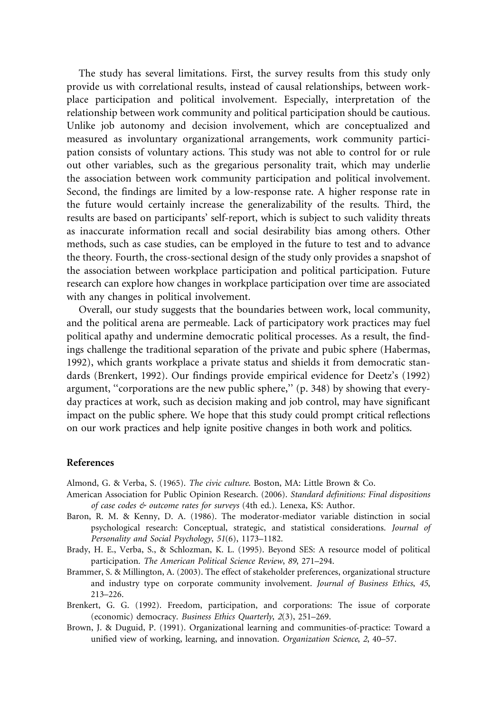The study has several limitations. First, the survey results from this study only provide us with correlational results, instead of causal relationships, between workplace participation and political involvement. Especially, interpretation of the relationship between work community and political participation should be cautious. Unlike job autonomy and decision involvement, which are conceptualized and measured as involuntary organizational arrangements, work community participation consists of voluntary actions. This study was not able to control for or rule out other variables, such as the gregarious personality trait, which may underlie the association between work community participation and political involvement. Second, the findings are limited by a low-response rate. A higher response rate in the future would certainly increase the generalizability of the results. Third, the results are based on participants' self-report, which is subject to such validity threats as inaccurate information recall and social desirability bias among others. Other methods, such as case studies, can be employed in the future to test and to advance the theory. Fourth, the cross-sectional design of the study only provides a snapshot of the association between workplace participation and political participation. Future research can explore how changes in workplace participation over time are associated with any changes in political involvement.

Overall, our study suggests that the boundaries between work, local community, and the political arena are permeable. Lack of participatory work practices may fuel political apathy and undermine democratic political processes. As a result, the findings challenge the traditional separation of the private and pubic sphere (Habermas, 1992), which grants workplace a private status and shields it from democratic standards (Brenkert, 1992). Our findings provide empirical evidence for Deetz's (1992) argument, ''corporations are the new public sphere,'' (p. 348) by showing that everyday practices at work, such as decision making and job control, may have significant impact on the public sphere. We hope that this study could prompt critical reflections on our work practices and help ignite positive changes in both work and politics.

#### References

Almond, G. & Verba, S. (1965). The civic culture. Boston, MA: Little Brown & Co.

- American Association for Public Opinion Research. (2006). Standard definitions: Final dispositions of case codes & outcome rates for surveys (4th ed.). Lenexa, KS: Author.
- Baron, R. M. & Kenny, D. A. (1986). The moderator-mediator variable distinction in social psychological research: Conceptual, strategic, and statistical considerations. Journal of Personality and Social Psychology, 51(6), 1173–1182.
- Brady, H. E., Verba, S., & Schlozman, K. L. (1995). Beyond SES: A resource model of political participation. The American Political Science Review, 89, 271–294.
- Brammer, S. & Millington, A. (2003). The effect of stakeholder preferences, organizational structure and industry type on corporate community involvement. Journal of Business Ethics, 45, 213–226.
- Brenkert, G. G. (1992). Freedom, participation, and corporations: The issue of corporate (economic) democracy. Business Ethics Quarterly, 2(3), 251–269.
- Brown, J. & Duguid, P. (1991). Organizational learning and communities-of-practice: Toward a unified view of working, learning, and innovation. Organization Science, 2, 40–57.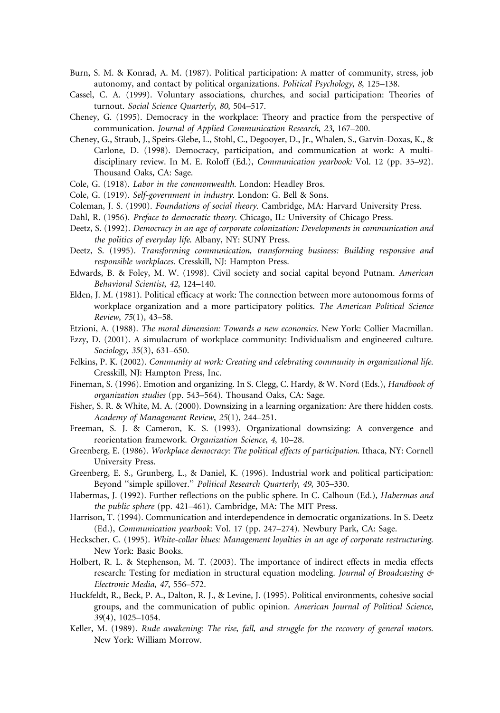- Burn, S. M. & Konrad, A. M. (1987). Political participation: A matter of community, stress, job autonomy, and contact by political organizations. Political Psychology, 8, 125–138.
- Cassel, C. A. (1999). Voluntary associations, churches, and social participation: Theories of turnout. Social Science Quarterly, 80, 504–517.
- Cheney, G. (1995). Democracy in the workplace: Theory and practice from the perspective of communication. Journal of Applied Communication Research, 23, 167–200.
- Cheney, G., Straub, J., Speirs-Glebe, L., Stohl, C., Degooyer, D., Jr., Whalen, S., Garvin-Doxas, K., & Carlone, D. (1998). Democracy, participation, and communication at work: A multidisciplinary review. In M. E. Roloff (Ed.), *Communication yearbook:* Vol. 12 (pp. 35–92). Thousand Oaks, CA: Sage.
- Cole, G. (1918). Labor in the commonwealth. London: Headley Bros.
- Cole, G. (1919). Self-government in industry. London: G. Bell & Sons.
- Coleman, J. S. (1990). Foundations of social theory. Cambridge, MA: Harvard University Press.
- Dahl, R. (1956). Preface to democratic theory. Chicago, IL: University of Chicago Press.
- Deetz, S. (1992). Democracy in an age of corporate colonization: Developments in communication and the politics of everyday life. Albany, NY: SUNY Press.
- Deetz, S. (1995). Transforming communication, transforming business: Building responsive and responsible workplaces. Cresskill, NJ: Hampton Press.
- Edwards, B. & Foley, M. W. (1998). Civil society and social capital beyond Putnam. American Behavioral Scientist, 42, 124–140.
- Elden, J. M. (1981). Political efficacy at work: The connection between more autonomous forms of workplace organization and a more participatory politics. The American Political Science Review, 75(1), 43–58.
- Etzioni, A. (1988). The moral dimension: Towards a new economics. New York: Collier Macmillan.
- Ezzy, D. (2001). A simulacrum of workplace community: Individualism and engineered culture. Sociology, 35(3), 631–650.
- Felkins, P. K. (2002). Community at work: Creating and celebrating community in organizational life. Cresskill, NJ: Hampton Press, Inc.
- Fineman, S. (1996). Emotion and organizing. In S. Clegg, C. Hardy, & W. Nord (Eds.), Handbook of organization studies (pp. 543–564). Thousand Oaks, CA: Sage.
- Fisher, S. R. & White, M. A. (2000). Downsizing in a learning organization: Are there hidden costs. Academy of Management Review, 25(1), 244–251.
- Freeman, S. J. & Cameron, K. S. (1993). Organizational downsizing: A convergence and reorientation framework. Organization Science, 4, 10–28.
- Greenberg, E. (1986). Workplace democracy: The political effects of participation. Ithaca, NY: Cornell University Press.
- Greenberg, E. S., Grunberg, L., & Daniel, K. (1996). Industrial work and political participation: Beyond ''simple spillover.'' Political Research Quarterly, 49, 305–330.
- Habermas, J. (1992). Further reflections on the public sphere. In C. Calhoun (Ed.), Habermas and the public sphere (pp. 421–461). Cambridge, MA: The MIT Press.
- Harrison, T. (1994). Communication and interdependence in democratic organizations. In S. Deetz (Ed.), Communication yearbook: Vol. 17 (pp. 247–274). Newbury Park, CA: Sage.
- Heckscher, C. (1995). White-collar blues: Management loyalties in an age of corporate restructuring. New York: Basic Books.
- Holbert, R. L. & Stephenson, M. T. (2003). The importance of indirect effects in media effects research: Testing for mediation in structural equation modeling. Journal of Broadcasting  $\phi$ Electronic Media, 47, 556–572.
- Huckfeldt, R., Beck, P. A., Dalton, R. J., & Levine, J. (1995). Political environments, cohesive social groups, and the communication of public opinion. American Journal of Political Science, 39(4), 1025–1054.
- Keller, M. (1989). Rude awakening: The rise, fall, and struggle for the recovery of general motors. New York: William Morrow.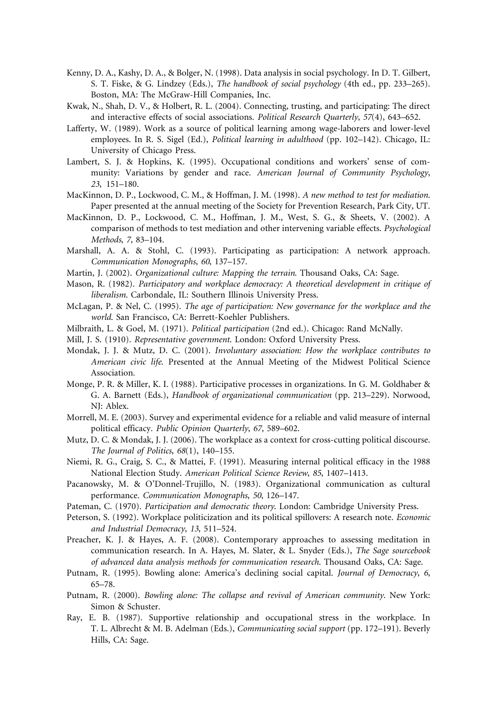- Kenny, D. A., Kashy, D. A., & Bolger, N. (1998). Data analysis in social psychology. In D. T. Gilbert, S. T. Fiske, & G. Lindzey (Eds.), The handbook of social psychology (4th ed., pp. 233–265). Boston, MA: The McGraw-Hill Companies, Inc.
- Kwak, N., Shah, D. V., & Holbert, R. L. (2004). Connecting, trusting, and participating: The direct and interactive effects of social associations. Political Research Quarterly, 57(4), 643–652.
- Lafferty, W. (1989). Work as a source of political learning among wage-laborers and lower-level employees. In R. S. Sigel (Ed.), Political learning in adulthood (pp. 102-142). Chicago, IL: University of Chicago Press.
- Lambert, S. J. & Hopkins, K. (1995). Occupational conditions and workers' sense of community: Variations by gender and race. American Journal of Community Psychology, 23, 151–180.
- MacKinnon, D. P., Lockwood, C. M., & Hoffman, J. M. (1998). A new method to test for mediation. Paper presented at the annual meeting of the Society for Prevention Research, Park City, UT.
- MacKinnon, D. P., Lockwood, C. M., Hoffman, J. M., West, S. G., & Sheets, V. (2002). A comparison of methods to test mediation and other intervening variable effects. Psychological Methods, 7, 83–104.
- Marshall, A. A. & Stohl, C. (1993). Participating as participation: A network approach. Communication Monographs, 60, 137–157.
- Martin, J. (2002). Organizational culture: Mapping the terrain. Thousand Oaks, CA: Sage.
- Mason, R. (1982). Participatory and workplace democracy: A theoretical development in critique of liberalism. Carbondale, IL: Southern Illinois University Press.
- McLagan, P. & Nel, C. (1995). The age of participation: New governance for the workplace and the world. San Francisco, CA: Berrett-Koehler Publishers.
- Milbraith, L. & Goel, M. (1971). Political participation (2nd ed.). Chicago: Rand McNally.
- Mill, J. S. (1910). Representative government. London: Oxford University Press.
- Mondak, J. J. & Mutz, D. C. (2001). Involuntary association: How the workplace contributes to American civic life. Presented at the Annual Meeting of the Midwest Political Science Association.
- Monge, P. R. & Miller, K. I. (1988). Participative processes in organizations. In G. M. Goldhaber & G. A. Barnett (Eds.), Handbook of organizational communication (pp. 213–229). Norwood, NJ: Ablex.
- Morrell, M. E. (2003). Survey and experimental evidence for a reliable and valid measure of internal political efficacy. Public Opinion Quarterly, 67, 589–602.
- Mutz, D. C. & Mondak, J. J. (2006). The workplace as a context for cross-cutting political discourse. The Journal of Politics, 68(1), 140–155.
- Niemi, R. G., Craig, S. C., & Mattei, F. (1991). Measuring internal political efficacy in the 1988 National Election Study. American Political Science Review, 85, 1407–1413.
- Pacanowsky, M. & O'Donnel-Trujillo, N. (1983). Organizational communication as cultural performance. Communication Monographs, 50, 126–147.
- Pateman, C. (1970). Participation and democratic theory. London: Cambridge University Press.
- Peterson, S. (1992). Workplace politicization and its political spillovers: A research note. Economic and Industrial Democracy, 13, 511–524.
- Preacher, K. J. & Hayes, A. F. (2008). Contemporary approaches to assessing meditation in communication research. In A. Hayes, M. Slater, & L. Snyder (Eds.), The Sage sourcebook of advanced data analysis methods for communication research. Thousand Oaks, CA: Sage.
- Putnam, R. (1995). Bowling alone: America's declining social capital. Journal of Democracy, 6, 65–78.
- Putnam, R. (2000). Bowling alone: The collapse and revival of American community. New York: Simon & Schuster.
- Ray, E. B. (1987). Supportive relationship and occupational stress in the workplace. In T. L. Albrecht & M. B. Adelman (Eds.), Communicating social support (pp. 172–191). Beverly Hills, CA: Sage.